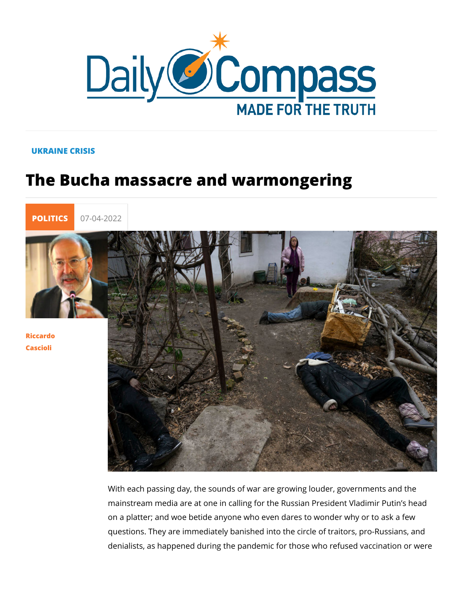## UKRAINE CRISIS

## The Bucha massacre and warmongering



[Riccar](/en/riccardo-cascioli)do [Casci](/en/riccardo-cascioli)oli

> With each passing day, the sounds of war are growing louder, mainstream media are at one in calling for the Russian President Via on a platter; and woe betide anyone who even dares to wonder questions. They are immediately banished into the circle of tra denialists, as happened during the pandemic for those who ref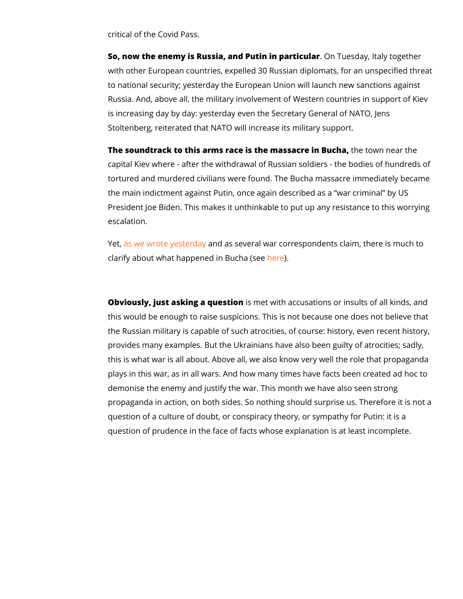critical of the Covid Pass.

So, now the enemy is Russia, and PutinO in Tpuaerstickauy anttaly toget with other European countries, expelled 30 Russian diplomats, to national security; yesterday the European Union will launch Russia. And, above all, the military involvement of Western co is increasing day by day: yesterday even the Secretary General Stoltenberg, reiterated that NATO will increase its military sup

The soundtrack to this arms race is the mastheacterwim near the town the town the town and the sound the sound the sound the sound the sound the sound the sound the sound the sound the sound the sound the sound the sound t capital Kiev where - after the withdrawal of Russian soldiers tortured and murdered civilians were found. The Bucha massac the main indictment against Putin, once again described as a President Joe Biden. This makes it unthinkable to put up any r escalation.

Yet<mark>as we wrote yesatneddan y</mark> several war correspondents claim, th clarify about what happened hier)Bucha (see

Obviously, just asking a icsuensettion with accusations or insults of a this would be enough to raise suspicions. This is not because the Russian military is capable of such atrocities, of course: h provides many examples. But the Ukrainians have also been gu this is what war is all about. Above all, we also know very wel plays in this war, as in all wars. And how many times have fac demonise the enemy and justify the war. This month we have a propaganda in action, on both sides. So nothing should surpris question of a culture of doubt, or conspiracy theory, or sympa question of prudence in the face of facts whose explanation is